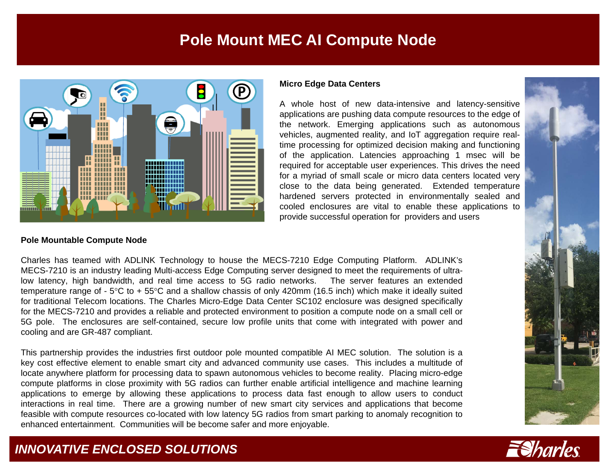# **Pole Mount MEC AI Compute Node**



### **Micro Edge Data Centers**

A whole host of new data-intensive and latency-sensitive applications are pushing data compute resources to the edge of the network. Emerging applications such as autonomous vehicles, augmented reality, and IoT aggregation require realtime processing for optimized decision making and functioning of the application. Latencies approaching 1 msec will be required for acceptable user experiences. This drives the need for <sup>a</sup> myriad of small scale or micro data centers located very close to the data being generated. Extended temperature hardened servers protected in environmentally sealed and cooled enclosures are vital to enable these applications to provide successful operation for providers and users

### **Pole Mountable Compute Node**

Charles has teamed with ADLINK Technology to house the MECS-7210 Edge Computing Platform. ADLINK's MECS-7210 is an industry leading Multi-access Edge Computing server designed to meet the requirements of ultralow latency, high bandwidth, and real time access to 5G radio networks. The server features an extended temperature range of -  $5^{\circ}$ C to +  $55^{\circ}$ C and a shallow chassis of only 420mm (16.5 inch) which make it ideally suited for traditional Telecom locations. The Charles Micro-Edge Data Center SC102 enclosure was designed specifically for the MECS-7210 and provides <sup>a</sup> reliable and protected environment to position <sup>a</sup> compute node on <sup>a</sup> small cell or 5G pole. The enclosures are self-contained, secure low profile units that come with integrated with power and cooling and are GR-487 compliant.

This partnership provides the industries first outdoor pole mounted compatible AI MEC solution. The solution is <sup>a</sup> key cost effective element to enable smart city and advanced community use cases. This includes <sup>a</sup> multitude of locate anywhere platform for processing data to spawn autonomous vehicles to become reality. Placing micro-edge compute platforms in close proximity with 5G radios can further enable artificial intelligence and machine learning applications to emerge by allowing these applications to process data fast enough to allow users to conduct interactions in real time. There are <sup>a</sup> growing number of new smart city services and applications that become feasible with compute resources co-located with low latency 5G radios from smart parking to anomaly recognition to enhanced entertainment. Communities will be become safer and more enjoyable.

# <del>E</del>Sharles

## *INNOVATIVE ENCLOSED SOLUTIONS*